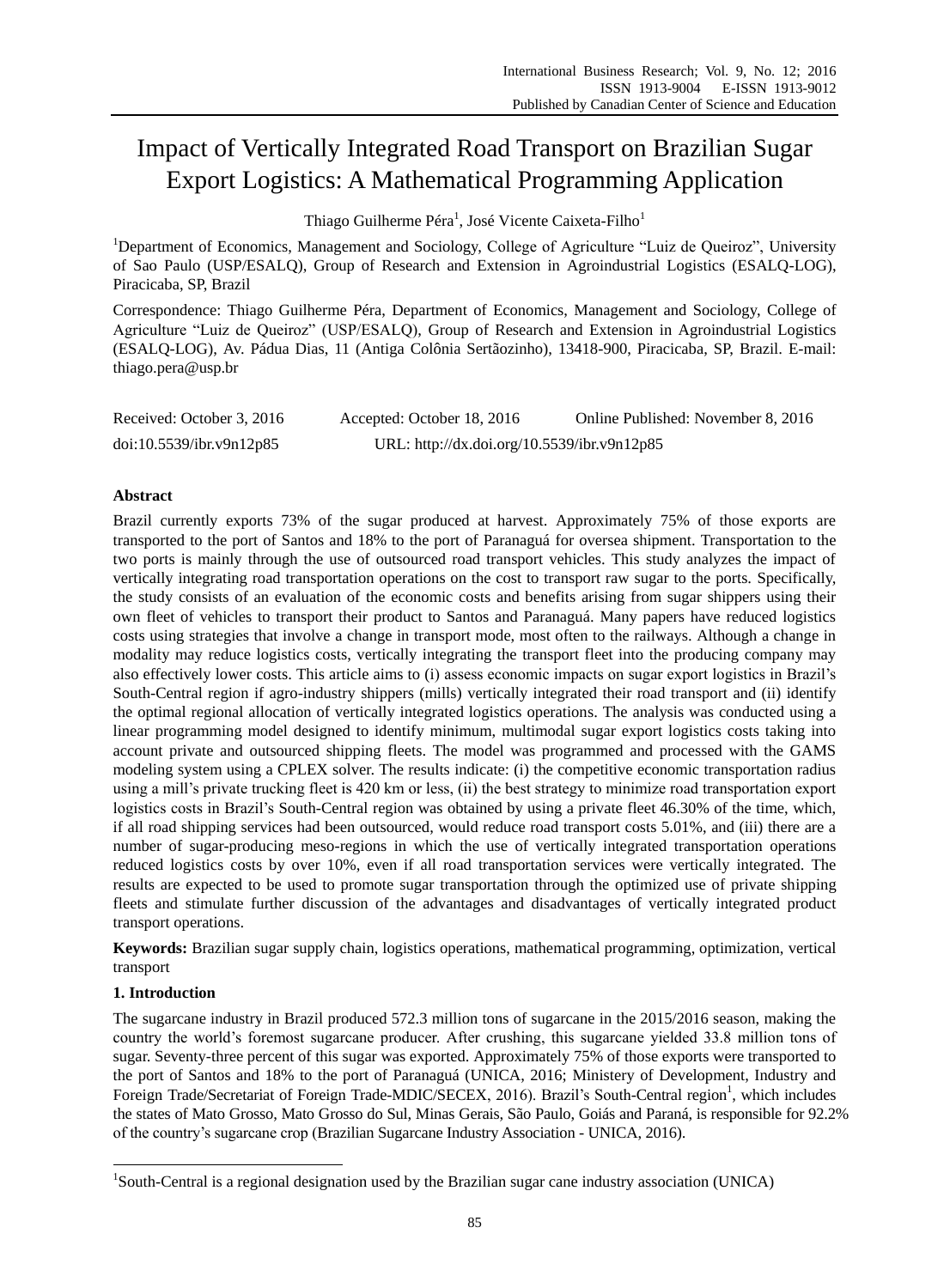# Impact of Vertically Integrated Road Transport on Brazilian Sugar Export Logistics: A Mathematical Programming Application

Thiago Guilherme Péra $^1$ , Jos é Vicente Caixeta-Filho $^1$ 

<sup>1</sup>Department of Economics, Management and Sociology, College of Agriculture "Luiz de Queiroz", University of Sao Paulo (USP/ESALQ), Group of Research and Extension in Agroindustrial Logistics (ESALQ-LOG), Piracicaba, SP, Brazil

Correspondence: Thiago Guilherme Péra, Department of Economics, Management and Sociology, College of Agriculture "Luiz de Queiroz" (USP/ESALQ), Group of Research and Extension in Agroindustrial Logistics (ESALQ-LOG), Av. Pádua Dias, 11 (Antiga Colônia Sertãozinho), 13418-900, Piracicaba, SP, Brazil. E-mail: [thiago.pera@usp.br](mailto:thiago.pera@usp.br)

| Received: October 3, 2016 | Accepted: October 18, 2016                  | Online Published: November 8, 2016 |  |
|---------------------------|---------------------------------------------|------------------------------------|--|
| doi:10.5539/ibr.v9n12p85  | URL: http://dx.doi.org/10.5539/ibr.v9n12p85 |                                    |  |

# **Abstract**

Brazil currently exports 73% of the sugar produced at harvest. Approximately 75% of those exports are transported to the port of Santos and 18% to the port of Paranaguáfor oversea shipment. Transportation to the two ports is mainly through the use of outsourced road transport vehicles. This study analyzes the impact of vertically integrating road transportation operations on the cost to transport raw sugar to the ports. Specifically, the study consists of an evaluation of the economic costs and benefits arising from sugar shippers using their own fleet of vehicles to transport their product to Santos and Paranaguá. Many papers have reduced logistics costs using strategies that involve a change in transport mode, most often to the railways. Although a change in modality may reduce logistics costs, vertically integrating the transport fleet into the producing company may also effectively lower costs. This article aims to (i) assess economic impacts on sugar export logistics in Brazil's South-Central region if agro-industry shippers (mills) vertically integrated their road transport and (ii) identify the optimal regional allocation of vertically integrated logistics operations. The analysis was conducted using a linear programming model designed to identify minimum, multimodal sugar export logistics costs taking into account private and outsourced shipping fleets. The model was programmed and processed with the GAMS modeling system using a CPLEX solver. The results indicate: (i) the competitive economic transportation radius using a mill's private trucking fleet is 420 km or less, (ii) the best strategy to minimize road transportation export logistics costs in Brazil's South-Central region was obtained by using a private fleet 46.30% of the time, which, if all road shipping services had been outsourced, would reduce road transport costs 5.01%, and (iii) there are a number of sugar-producing meso-regions in which the use of vertically integrated transportation operations reduced logistics costs by over 10%, even if all road transportation services were vertically integrated. The results are expected to be used to promote sugar transportation through the optimized use of private shipping fleets and stimulate further discussion of the advantages and disadvantages of vertically integrated product transport operations.

**Keywords:** Brazilian sugar supply chain, logistics operations, mathematical programming, optimization, vertical transport

# **1. Introduction**

-

The sugarcane industry in Brazil produced 572.3 million tons of sugarcane in the 2015/2016 season, making the country the world's foremost sugarcane producer. After crushing, this sugarcane yielded 33.8 million tons of sugar. Seventy-three percent of this sugar was exported. Approximately 75% of those exports were transported to the port of Santos and 18% to the port of Paranaguá (UNICA, 2016; Ministery of Development, Industry and Foreign Trade/Secretariat of Foreign Trade-MDIC/SECEX, 2016). Brazil's South-Central region<sup>1</sup>, which includes the states of Mato Grosso, Mato Grosso do Sul, Minas Gerais, São Paulo, Goi ás and Paraná is responsible for 92.2% of the country's sugarcane crop (Brazilian Sugarcane Industry Association - UNICA, 2016).

<sup>&</sup>lt;sup>1</sup>South-Central is a regional designation used by the Brazilian sugar cane industry association (UNICA)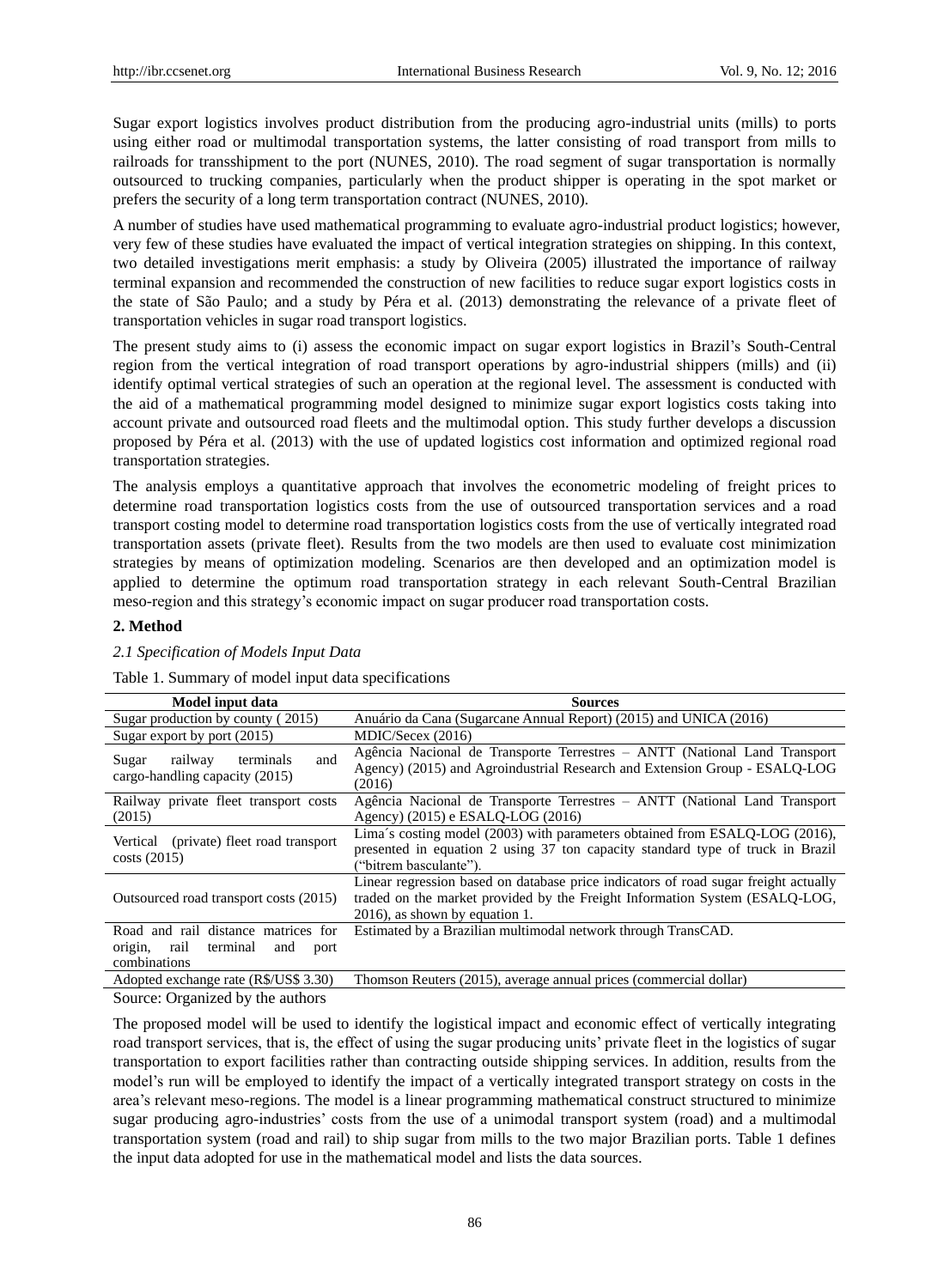Sugar export logistics involves product distribution from the producing agro-industrial units (mills) to ports using either road or multimodal transportation systems, the latter consisting of road transport from mills to railroads for transshipment to the port (NUNES, 2010). The road segment of sugar transportation is normally outsourced to trucking companies, particularly when the product shipper is operating in the spot market or prefers the security of a long term transportation contract (NUNES, 2010).

A number of studies have used mathematical programming to evaluate agro-industrial product logistics; however, very few of these studies have evaluated the impact of vertical integration strategies on shipping. In this context, two detailed investigations merit emphasis: a study by Oliveira (2005) illustrated the importance of railway terminal expansion and recommended the construction of new facilities to reduce sugar export logistics costs in the state of São Paulo; and a study by Péra et al. (2013) demonstrating the relevance of a private fleet of transportation vehicles in sugar road transport logistics.

The present study aims to (i) assess the economic impact on sugar export logistics in Brazil's South-Central region from the vertical integration of road transport operations by agro-industrial shippers (mills) and (ii) identify optimal vertical strategies of such an operation at the regional level. The assessment is conducted with the aid of a mathematical programming model designed to minimize sugar export logistics costs taking into account private and outsourced road fleets and the multimodal option. This study further develops a discussion proposed by Péra et al. (2013) with the use of updated logistics cost information and optimized regional road transportation strategies.

The analysis employs a quantitative approach that involves the econometric modeling of freight prices to determine road transportation logistics costs from the use of outsourced transportation services and a road transport costing model to determine road transportation logistics costs from the use of vertically integrated road transportation assets (private fleet). Results from the two models are then used to evaluate cost minimization strategies by means of optimization modeling. Scenarios are then developed and an optimization model is applied to determine the optimum road transportation strategy in each relevant South-Central Brazilian meso-region and this strategy's economic impact on sugar producer road transportation costs.

## **2. Method**

## *2.1 Specification of Models Input Data*

Table 1. Summary of model input data specifications

| Model input data                                                                                  | <b>Sources</b>                                                                                                                                                                                       |  |  |
|---------------------------------------------------------------------------------------------------|------------------------------------------------------------------------------------------------------------------------------------------------------------------------------------------------------|--|--|
| Sugar production by county (2015)                                                                 | Anu ário da Cana (Sugarcane Annual Report) (2015) and UNICA (2016)                                                                                                                                   |  |  |
| Sugar export by port (2015)                                                                       | MDIC/Secex (2016)                                                                                                                                                                                    |  |  |
| railway<br>terminals<br>and<br>Sugar<br>cargo-handling capacity (2015)                            | Agência Nacional de Transporte Terrestres – ANTT (National Land Transport<br>Agency) (2015) and Agroindustrial Research and Extension Group - ESALO-LOG<br>(2016)                                    |  |  |
| Railway private fleet transport costs<br>(2015)                                                   | Agência Nacional de Transporte Terrestres – ANTT (National Land Transport<br>Agency) (2015) e ESALO-LOG (2016)                                                                                       |  |  |
| Vertical (private) fleet road transport<br>costs(2015)                                            | Lima $\acute{s}$ costing model (2003) with parameters obtained from ESALQ-LOG (2016),<br>presented in equation 2 using 37 ton capacity standard type of truck in Brazil<br>("bitrem basculante").    |  |  |
| Outsourced road transport costs (2015)                                                            | Linear regression based on database price indicators of road sugar freight actually<br>traded on the market provided by the Freight Information System (ESALO-LOG,<br>2016), as shown by equation 1. |  |  |
| Road and rail distance matrices for<br>rail<br>origin,<br>terminal<br>and<br>port<br>combinations | Estimated by a Brazilian multimodal network through TransCAD.                                                                                                                                        |  |  |
| Adopted exchange rate (R\$/US\$ 3.30)                                                             | Thomson Reuters (2015), average annual prices (commercial dollar)                                                                                                                                    |  |  |

Source: Organized by the authors

The proposed model will be used to identify the logistical impact and economic effect of vertically integrating road transport services, that is, the effect of using the sugar producing units' private fleet in the logistics of sugar transportation to export facilities rather than contracting outside shipping services. In addition, results from the model's run will be employed to identify the impact of a vertically integrated transport strategy on costs in the area's relevant meso-regions. The model is a linear programming mathematical construct structured to minimize sugar producing agro-industries' costs from the use of a unimodal transport system (road) and a multimodal transportation system (road and rail) to ship sugar from mills to the two major Brazilian ports. Table 1 defines the input data adopted for use in the mathematical model and lists the data sources.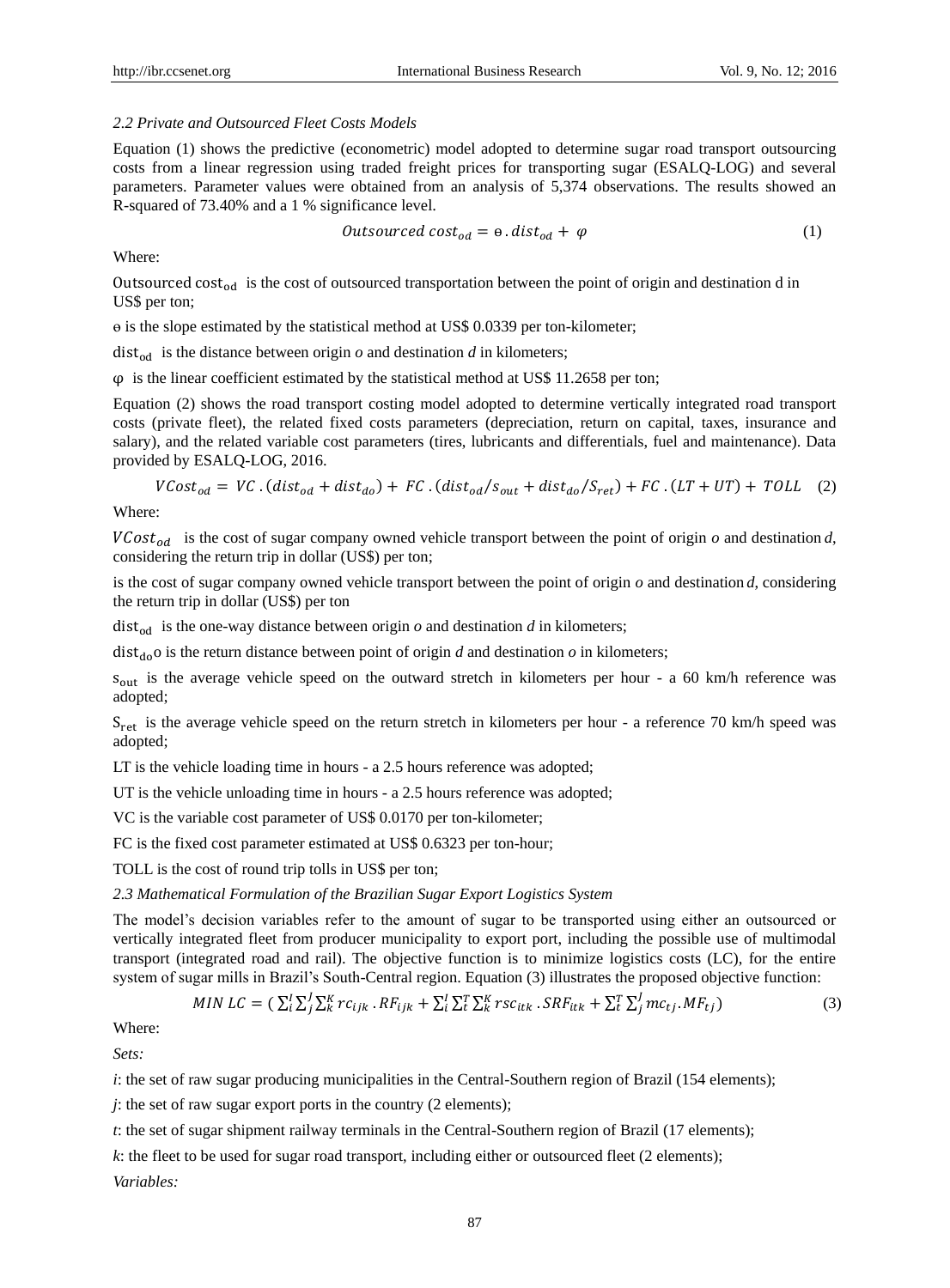#### *2.2 Private and Outsourced Fleet Costs Models*

Equation (1) shows the predictive (econometric) model adopted to determine sugar road transport outsourcing costs from a linear regression using traded freight prices for transporting sugar (ESALQ-LOG) and several parameters. Parameter values were obtained from an analysis of 5,374 observations. The results showed an R-squared of 73.40% and a 1 % significance level.

$$
Outside\,constant_{od} = \Theta \cdot dist_{od} + \varphi \tag{1}
$$

Where:

Outsourced cost<sub>od</sub> is the cost of outsourced transportation between the point of origin and destination d in US\$ per ton;

ɵ is the slope estimated by the statistical method at US\$ 0.0339 per ton-kilometer;

dist<sub>od</sub> is the distance between origin  $\rho$  and destination  $d$  in kilometers;

 $\varphi$  is the linear coefficient estimated by the statistical method at US\$ 11.2658 per ton;

Equation (2) shows the road transport costing model adopted to determine vertically integrated road transport costs (private fleet), the related fixed costs parameters (depreciation, return on capital, taxes, insurance and salary), and the related variable cost parameters (tires, lubricants and differentials, fuel and maintenance). Data provided by ESALQ-LOG, 2016.

$$
VCost_{od} = VC.(dist_{od} + dist_{do}) + FC.(dist_{od}/S_{out} + dist_{do}/S_{ret}) + FC.(LT + UT) + TOLL (2)
$$

Where:

 $VCost_{od}$  is the cost of sugar company owned vehicle transport between the point of origin  $o$  and destination  $d$ , considering the return trip in dollar (US\$) per ton;

is the cost of sugar company owned vehicle transport between the point of origin *o* and destination *d*, considering the return trip in dollar (US\$) per ton

 $dist_{\text{odd}}$  is the one-way distance between origin  $o$  and destination  $d$  in kilometers;

 $dist_{do}$  is the return distance between point of origin *d* and destination *o* in kilometers;

sout is the average vehicle speed on the outward stretch in kilometers per hour - a 60 km/h reference was adopted;

S<sub>ret</sub> is the average vehicle speed on the return stretch in kilometers per hour - a reference 70 km/h speed was adopted;

LT is the vehicle loading time in hours - a 2.5 hours reference was adopted;

UT is the vehicle unloading time in hours - a 2.5 hours reference was adopted;

VC is the variable cost parameter of US\$ 0.0170 per ton-kilometer;

FC is the fixed cost parameter estimated at US\$ 0.6323 per ton-hour;

TOLL is the cost of round trip tolls in US\$ per ton;

*2.3 Mathematical Formulation of the Brazilian Sugar Export Logistics System*

The model's decision variables refer to the amount of sugar to be transported using either an outsourced or vertically integrated fleet from producer municipality to export port, including the possible use of multimodal transport (integrated road and rail). The objective function is to minimize logistics costs (LC), for the entire system of sugar mills in Brazil's South-Central region. Equation (3) illustrates the proposed objective function:

MIN LC = 
$$
(\sum_{i}^{I} \sum_{j}^{I} \sum_{k}^{K} rc_{ijk} \cdot RF_{ijk} + \sum_{i}^{I} \sum_{k}^{T} \sum_{k}^{K} rsc_{itk} \cdot SRF_{itk} + \sum_{i}^{T} \sum_{j}^{I} mc_{tj} \cdot MF_{tj})
$$
 (3)

Where:

*Sets:*

*i*: the set of raw sugar producing municipalities in the Central-Southern region of Brazil (154 elements);

*j*: the set of raw sugar export ports in the country (2 elements);

*t*: the set of sugar shipment railway terminals in the Central-Southern region of Brazil (17 elements);

*k*: the fleet to be used for sugar road transport, including either or outsourced fleet (2 elements);

*Variables:*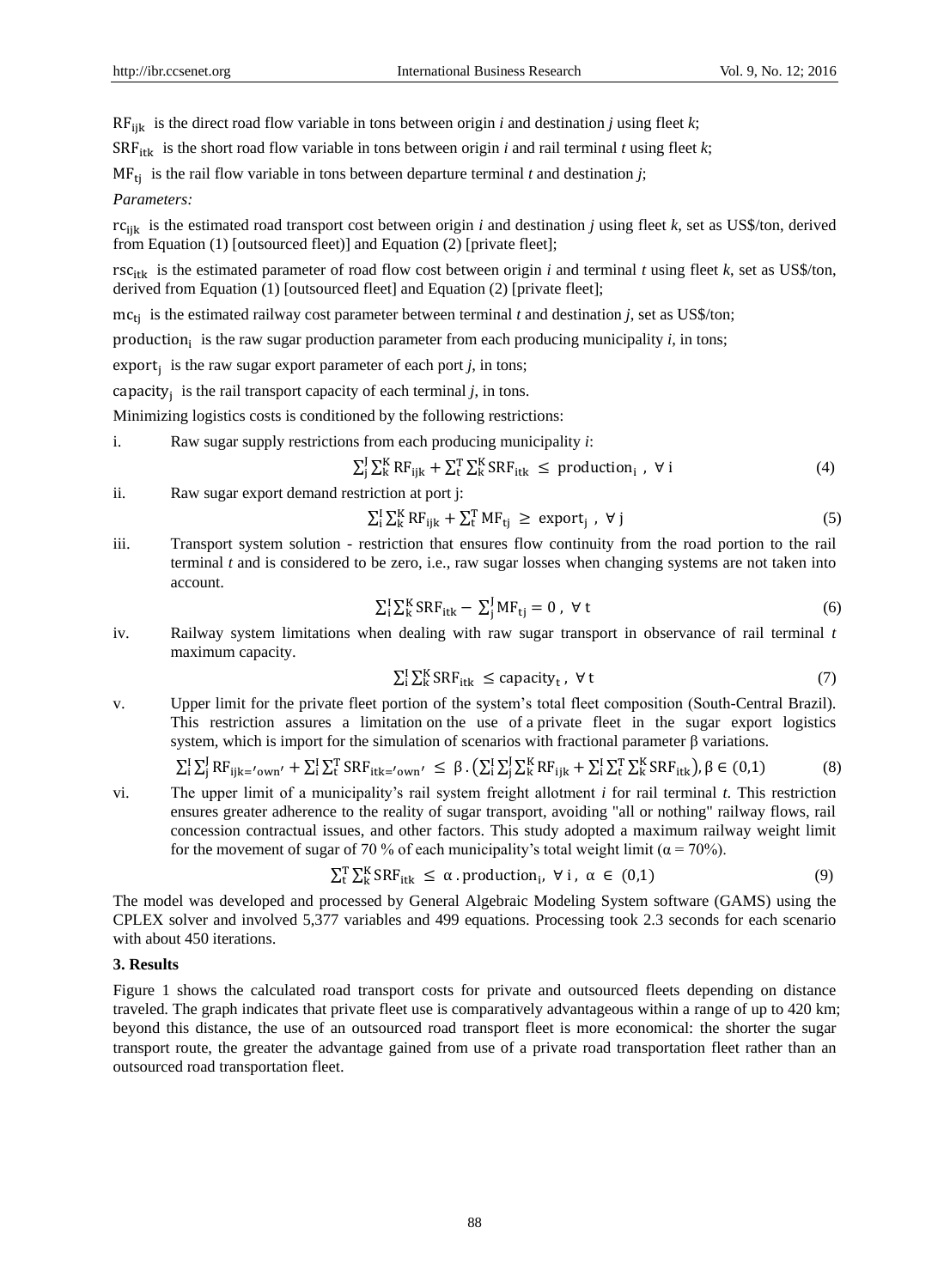$RF_{iik}$  is the direct road flow variable in tons between origin *i* and destination *j* using fleet *k*;

 $SRF_{itk}$  is the short road flow variable in tons between origin *i* and rail terminal *t* using fleet *k*;

 $MF_{ti}$  is the rail flow variable in tons between departure terminal *t* and destination *j*;

## *Parameters:*

rcijk is the estimated road transport cost between origin *i* and destination *j* using fleet *k*, set as US\$/ton, derived from Equation (1) [outsourced fleet)] and Equation (2) [private fleet];

 $rsc_{it}$  is the estimated parameter of road flow cost between origin *i* and terminal *t* using fleet *k*, set as US\$/ton, derived from Equation (1) [outsourced fleet] and Equation (2) [private fleet];

 $mc_{ti}$  is the estimated railway cost parameter between terminal *t* and destination *j*, set as US\$/ton;

production<sub>i</sub> is the raw sugar production parameter from each producing municipality *i*, in tons;

export<sub>j</sub> is the raw sugar export parameter of each port  $j$ , in tons;

capacity<sub>j</sub> is the rail transport capacity of each terminal  $j$ , in tons.

Minimizing logistics costs is conditioned by the following restrictions:

i. Raw sugar supply restrictions from each producing municipality *i*:

$$
\sum_{j}^{J} \sum_{k}^{K} RF_{ijk} + \sum_{t}^{T} \sum_{k}^{K} SRF_{itk} \leq production_{i} , \forall i
$$
 (4)

ii. Raw sugar export demand restriction at port j:

$$
\sum_{i}^{I} \sum_{k}^{K} RF_{ijk} + \sum_{t}^{T} MF_{tj} \ge \text{ export}_{j} , \forall j
$$
 (5)

iii. Transport system solution - restriction that ensures flow continuity from the road portion to the rail terminal *t* and is considered to be zero, i.e., raw sugar losses when changing systems are not taken into account.

$$
\sum_{i}^{I} \sum_{k}^{K} SRF_{itk} - \sum_{j}^{J} MF_{tj} = 0, \forall t
$$
 (6)

iv. Railway system limitations when dealing with raw sugar transport in observance of rail terminal *t*  maximum capacity.

$$
\sum_{i}^{I} \sum_{k}^{K} SRF_{itk} \leq capacity_{t}, \forall t
$$
 (7)

v. Upper limit for the private fleet portion of the system's total fleet composition (South-Central Brazil). This restriction assures a limitation on the use of a private fleet in the sugar export logistics system, which is import for the simulation of scenarios with fractional parameter  $\beta$  variations.

$$
\sum_{i}^{I} \sum_{j}^{J} RF_{ijk} = '_{own'} + \sum_{i}^{I} \sum_{t}^{T} SRF_{itk} = '_{own'} \leq \beta \cdot (\sum_{i}^{I} \sum_{j}^{J} \sum_{k}^{K} RF_{ijk} + \sum_{i}^{I} \sum_{t}^{T} \sum_{k}^{K} SRF_{itk}), \beta \in (0,1)
$$
 (8)

vi. The upper limit of a municipality's rail system freight allotment *i* for rail terminal *t*. This restriction ensures greater adherence to the reality of sugar transport, avoiding "all or nothing" railway flows, rail concession contractual issues, and other factors. This study adopted a maximum railway weight limit for the movement of sugar of 70 % of each municipality's total weight limit ( $\alpha$  = 70%).

$$
\sum_{t}^{T} \sum_{k}^{K} SRF_{itk} \le \alpha \cdot production_{i}, \forall i, \alpha \in (0,1)
$$
 (9)

The model was developed and processed by General Algebraic Modeling System software (GAMS) using the CPLEX solver and involved 5,377 variables and 499 equations. Processing took 2.3 seconds for each scenario with about 450 iterations.

#### **3. Results**

Figure 1 shows the calculated road transport costs for private and outsourced fleets depending on distance traveled. The graph indicates that private fleet use is comparatively advantageous within a range of up to 420 km; beyond this distance, the use of an outsourced road transport fleet is more economical: the shorter the sugar transport route, the greater the advantage gained from use of a private road transportation fleet rather than an outsourced road transportation fleet.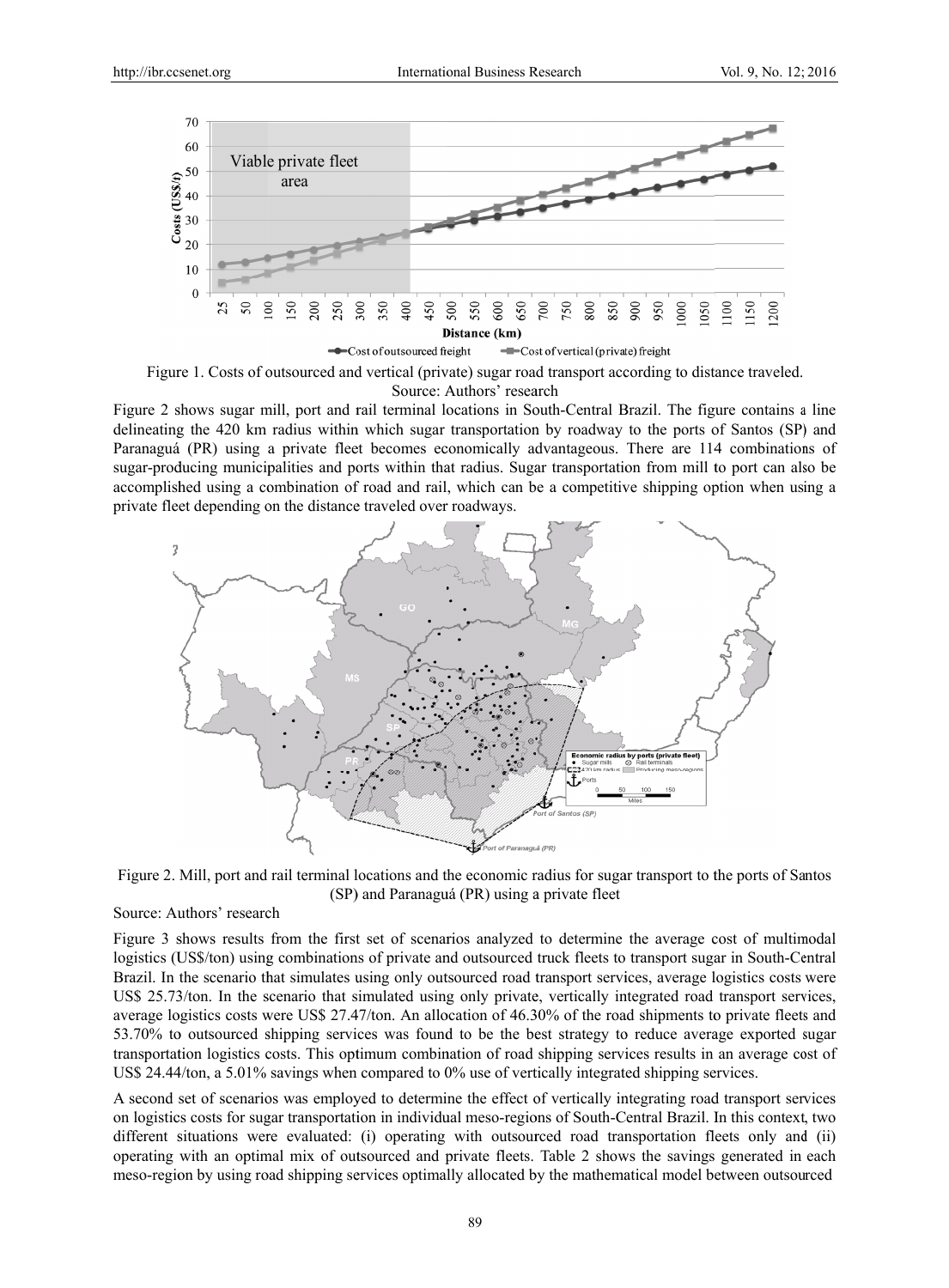

Figure 1. Costs of outsourced and vertical (private) sugar road transport according to distance traveled. Source: Authors' research

Figure 2 shows sugar mill, port and rail terminal locations in South-Central Brazil. The figure contains a line delineating the 420 km radius within which sugar transportation by roadway to the ports of Santos (SP) and Paranaguá (PR) using a private fleet becomes economically advantageous. There are 114 combinations of sugar-producing municipalities and ports within that radius. Sugar transportation from mill to port can also be accomplished using a combination of road and rail, which can be a competitive shipping option when using a private fleet depending on the distance traveled over roadways.



Figure 2. Mill, port and rail terminal locations and the economic radius for sugar transport to the ports of Santos (SP) and Paranaguá (PR) using a private fleet

## Source: Authors' research

Figure 3 shows results from the first set of scenarios analyzed to determine the average cost of multimodal logistics (US\$/ton) using combinations of private and outsourced truck fleets to transport sugar in South-Central Brazil. In the scenario that simulates using only outsourced road transport services, average logistics costs were US\$ 25.73/ton. In the scenario that simulated using only private, vertically integrated road transport services, average logistics costs were US\$ 27.47/ton. An allocation of 46.30% of the road shipments to private fleets and 53.70% to outsourced shipping services was found to be the best strategy to reduce average exported sugar transportation logistics costs. This optimum combination of road shipping services results in an average cost of US\$ 24.44/ton, a 5.01% savings when compared to 0% use of vertically integrated shipping services.

A second set of scenarios was employed to determine the effect of vertically integrating road transport services on logistics costs for sugar transportation in individual meso-regions of South-Central Brazil. In this context, two different situations were evaluated: (i) operating with outsourced road transportation fleets only and (ii) operating with an optimal mix of outsourced and private fleets. Table 2 shows the savings generated in each meso-region by using road shipping services optimally allocated by the mathematical model between outsourced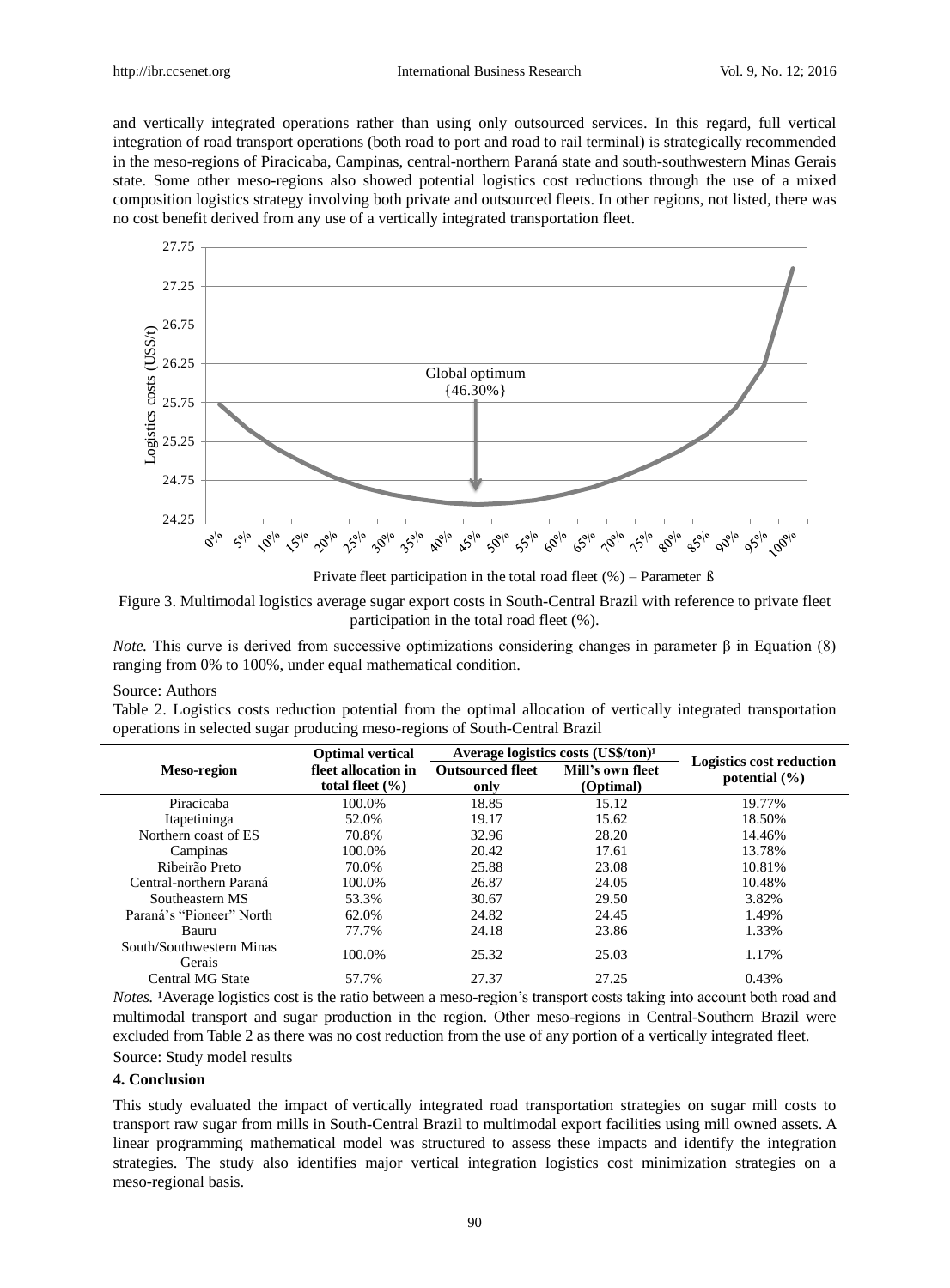and vertically integrated operations rather than using only outsourced services. In this regard, full vertical integration of road transport operations (both road to port and road to rail terminal) is strategically recommended in the meso-regions of Piracicaba, Campinas, central-northern Paranástate and south-southwestern Minas Gerais state. Some other meso-regions also showed potential logistics cost reductions through the use of a mixed composition logistics strategy involving both private and outsourced fleets. In other regions, not listed, there was no cost benefit derived from any use of a vertically integrated transportation fleet.



Private fleet participation in the total road fleet  $(\%)$  – Parameter  $\beta$ 

Figure 3. Multimodal logistics average sugar export costs in South-Central Brazil with reference to private fleet participation in the total road fleet (%).

*Note.* This curve is derived from successive optimizations considering changes in parameter  $\beta$  in Equation (8) ranging from 0% to 100%, under equal mathematical condition.

#### Source: Authors

Table 2. Logistics costs reduction potential from the optimal allocation of vertically integrated transportation operations in selected sugar producing meso-regions of South-Central Brazil

|                                    | <b>Optimal vertical</b>                    | Average logistics costs $(US\frac{6}{5}/\tan)$ <sup>1</sup> |                               |                                                      |
|------------------------------------|--------------------------------------------|-------------------------------------------------------------|-------------------------------|------------------------------------------------------|
| <b>Meso-region</b>                 | fleet allocation in<br>total fleet $(\% )$ | <b>Outsourced fleet</b><br>only                             | Mill's own fleet<br>(Optimal) | <b>Logistics cost reduction</b><br>potential $(\% )$ |
| Piracicaba                         | 100.0%                                     | 18.85                                                       | 15.12                         | 19.77%                                               |
| Itapetininga                       | 52.0%                                      | 19.17                                                       | 15.62                         | 18.50%                                               |
| Northern coast of ES               | 70.8%                                      | 32.96                                                       | 28.20                         | 14.46%                                               |
| Campinas                           | 100.0%                                     | 20.42                                                       | 17.61                         | 13.78%                                               |
| Ribeir ão Preto                    | 70.0%                                      | 25.88                                                       | 23.08                         | 10.81%                                               |
| Central-northern Paran á           | 100.0%                                     | 26.87                                                       | 24.05                         | 10.48%                                               |
| Southeastern MS                    | 53.3%                                      | 30.67                                                       | 29.50                         | 3.82%                                                |
| Paraná's "Pioneer" North           | 62.0%                                      | 24.82                                                       | 24.45                         | 1.49%                                                |
| Bauru                              | 77.7%                                      | 24.18                                                       | 23.86                         | 1.33%                                                |
| South/Southwestern Minas<br>Gerais | 100.0%                                     | 25.32                                                       | 25.03                         | 1.17%                                                |
| Central MG State                   | 57.7%                                      | 27.37                                                       | 27.25                         | 0.43%                                                |

*Notes.* Average logistics cost is the ratio between a meso-region's transport costs taking into account both road and multimodal transport and sugar production in the region. Other meso-regions in Central-Southern Brazil were excluded from Table 2 as there was no cost reduction from the use of any portion of a vertically integrated fleet.

Source: Study model results

# **4. Conclusion**

This study evaluated the impact of vertically integrated road transportation strategies on sugar mill costs to transport raw sugar from mills in South-Central Brazil to multimodal export facilities using mill owned assets. A linear programming mathematical model was structured to assess these impacts and identify the integration strategies. The study also identifies major vertical integration logistics cost minimization strategies on a meso-regional basis.